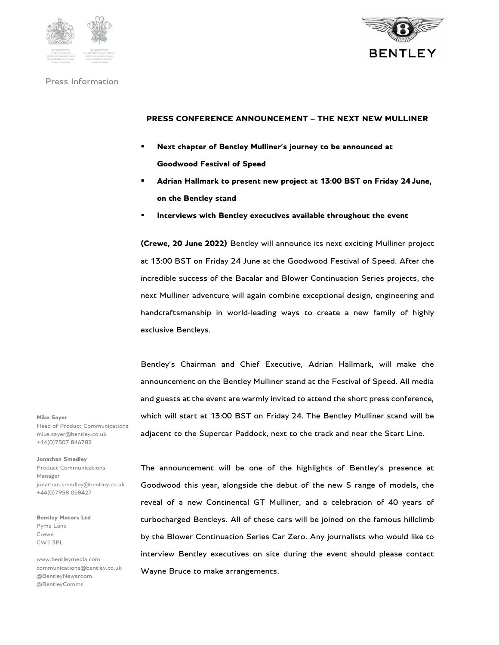



#### Press Information

### **PRESS CONFERENCE ANNOUNCEMENT – THE NEXT NEW MULLINER**

- **Next chapter of Bentley Mulliner's journey to be announced at Goodwood Festival of Speed**
- **Adrian Hallmark to present new project at 13:00 BST on Friday 24 June, on the Bentley stand**
- **Interviews with Bentley executives available throughout the event**

**(Crewe, 20 June 2022)** Bentley will announce its next exciting Mulliner project at 13:00 BST on Friday 24 June at the Goodwood Festival of Speed. After the incredible success of the Bacalar and Blower Continuation Series projects, the next Mulliner adventure will again combine exceptional design, engineering and handcraftsmanship in world-leading ways to create a new family of highly exclusive Bentleys.

Bentley's Chairman and Chief Executive, Adrian Hallmark, will make the announcement on the Bentley Mulliner stand at the Festival of Speed. All media and guests at the event are warmly invited to attend the short press conference, which will start at 13:00 BST on Friday 24. The Bentley Mulliner stand will be adjacent to the Supercar Paddock, next to the track and near the Start Line.

**Mike Sayer**  Head of Product Communications mike.sayer@bentley.co.uk +44(0)7507 846782

**Jonathan Smedley**  Product Communications Manager jonathan.smedley@bentley.co.uk +44(0)7958 058427

**Bentley Motors Ltd**  Pyms Lane Crewe CW1 3PL

www.bentleymedia.com communications@bentley.co.uk @BentleyNewsroom @BentleyComms

The announcement will be one of the highlights of Bentley's presence at Goodwood this year, alongside the debut of the new S range of models, the reveal of a new Continental GT Mulliner, and a celebration of 40 years of turbocharged Bentleys. All of these cars will be joined on the famous hillclimb by the Blower Continuation Series Car Zero. Any journalists who would like to interview Bentley executives on site during the event should please contact Wayne Bruce to make arrangements.